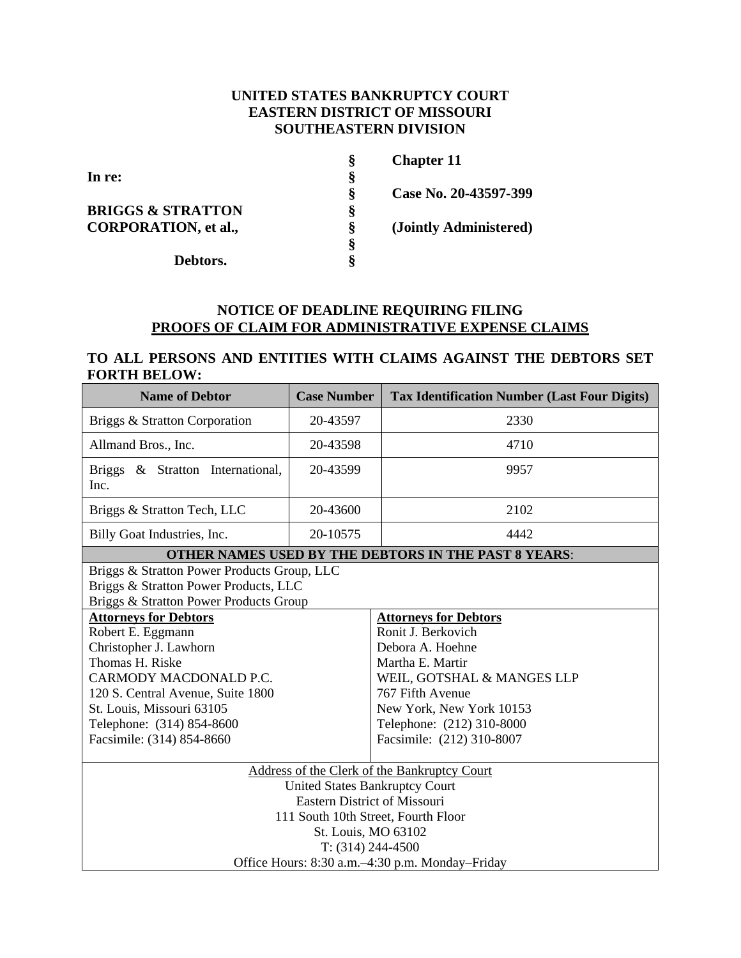# **UNITED STATES BANKRUPTCY COURT EASTERN DISTRICT OF MISSOURI SOUTHEASTERN DIVISION**

|                              | Š | <b>Chapter 11</b>      |
|------------------------------|---|------------------------|
| In re:                       | Š |                        |
|                              | Ş | Case No. 20-43597-399  |
| <b>BRIGGS &amp; STRATTON</b> | ş |                        |
| <b>CORPORATION, et al.,</b>  | Ş | (Jointly Administered) |
|                              | ş |                        |
| Debtors.                     | ö |                        |

# **NOTICE OF DEADLINE REQUIRING FILING PROOFS OF CLAIM FOR ADMINISTRATIVE EXPENSE CLAIMS**

# **TO ALL PERSONS AND ENTITIES WITH CLAIMS AGAINST THE DEBTORS SET FORTH BELOW:**

| <b>Name of Debtor</b>                                                                                                          | <b>Case Number</b> | <b>Tax Identification Number (Last Four Digits)</b>   |  |  |
|--------------------------------------------------------------------------------------------------------------------------------|--------------------|-------------------------------------------------------|--|--|
| Briggs & Stratton Corporation                                                                                                  | 20-43597           | 2330                                                  |  |  |
| Allmand Bros., Inc.                                                                                                            | 20-43598           | 4710                                                  |  |  |
| Briggs & Stratton International,<br>Inc.                                                                                       | 20-43599           | 9957                                                  |  |  |
| Briggs & Stratton Tech, LLC                                                                                                    | 20-43600           | 2102                                                  |  |  |
| Billy Goat Industries, Inc.                                                                                                    | 20-10575           | 4442                                                  |  |  |
| <b>OTHER NAMES USED BY THE DEBTORS IN THE PAST 8 YEARS:</b>                                                                    |                    |                                                       |  |  |
| Briggs & Stratton Power Products Group, LLC<br>Briggs & Stratton Power Products, LLC<br>Briggs & Stratton Power Products Group |                    |                                                       |  |  |
| <b>Attorneys for Debtors</b>                                                                                                   |                    | <b>Attorneys for Debtors</b>                          |  |  |
| Robert E. Eggmann                                                                                                              |                    | Ronit J. Berkovich                                    |  |  |
| Christopher J. Lawhorn                                                                                                         |                    | Debora A. Hoehne                                      |  |  |
| Thomas H. Riske                                                                                                                |                    | Martha E. Martir                                      |  |  |
| CARMODY MACDONALD P.C.                                                                                                         |                    | WEIL, GOTSHAL & MANGES LLP                            |  |  |
| 120 S. Central Avenue, Suite 1800                                                                                              |                    | 767 Fifth Avenue                                      |  |  |
| St. Louis, Missouri 63105                                                                                                      |                    | New York, New York 10153<br>Telephone: (212) 310-8000 |  |  |
| Telephone: (314) 854-8600                                                                                                      |                    | Facsimile: (212) 310-8007                             |  |  |
| Facsimile: (314) 854-8660                                                                                                      |                    |                                                       |  |  |
| Address of the Clerk of the Bankruptcy Court                                                                                   |                    |                                                       |  |  |
| <b>United States Bankruptcy Court</b>                                                                                          |                    |                                                       |  |  |
| <b>Eastern District of Missouri</b>                                                                                            |                    |                                                       |  |  |
| 111 South 10th Street, Fourth Floor                                                                                            |                    |                                                       |  |  |
| St. Louis, MO 63102                                                                                                            |                    |                                                       |  |  |
| $T: (314) 244-4500$                                                                                                            |                    |                                                       |  |  |
| Office Hours: 8:30 a.m.–4:30 p.m. Monday–Friday                                                                                |                    |                                                       |  |  |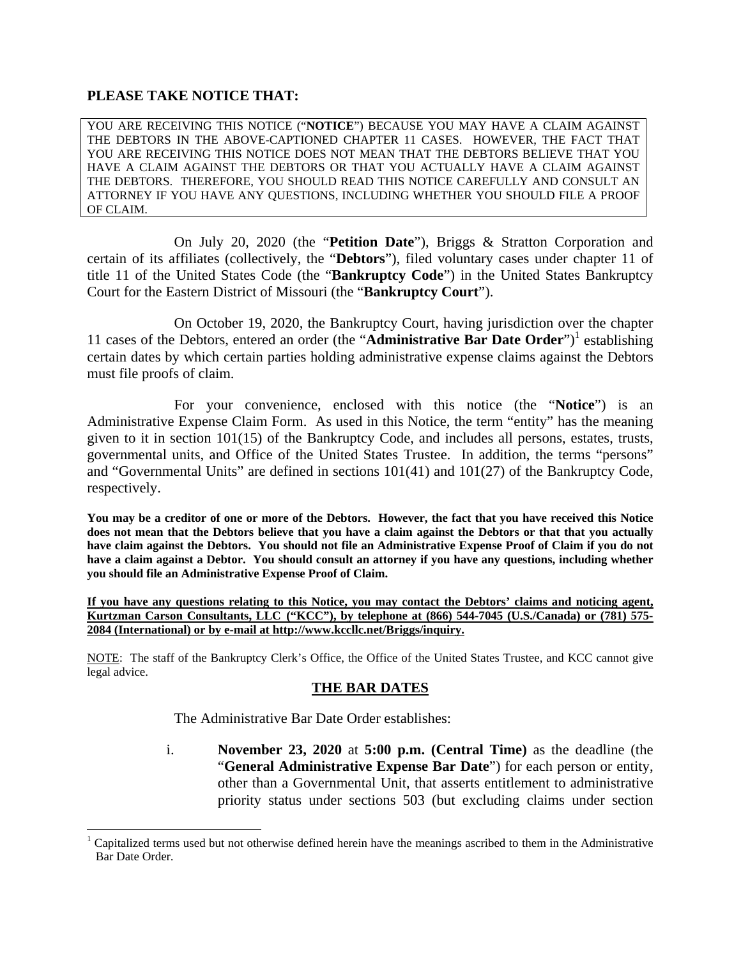# **PLEASE TAKE NOTICE THAT:**

YOU ARE RECEIVING THIS NOTICE ("**NOTICE**") BECAUSE YOU MAY HAVE A CLAIM AGAINST THE DEBTORS IN THE ABOVE-CAPTIONED CHAPTER 11 CASES. HOWEVER, THE FACT THAT YOU ARE RECEIVING THIS NOTICE DOES NOT MEAN THAT THE DEBTORS BELIEVE THAT YOU HAVE A CLAIM AGAINST THE DEBTORS OR THAT YOU ACTUALLY HAVE A CLAIM AGAINST THE DEBTORS. THEREFORE, YOU SHOULD READ THIS NOTICE CAREFULLY AND CONSULT AN ATTORNEY IF YOU HAVE ANY QUESTIONS, INCLUDING WHETHER YOU SHOULD FILE A PROOF OF CLAIM.

On July 20, 2020 (the "**Petition Date**"), Briggs & Stratton Corporation and certain of its affiliates (collectively, the "**Debtors**"), filed voluntary cases under chapter 11 of title 11 of the United States Code (the "**Bankruptcy Code**") in the United States Bankruptcy Court for the Eastern District of Missouri (the "**Bankruptcy Court**").

On October 19, 2020, the Bankruptcy Court, having jurisdiction over the chapter 11 cases of the Debtors, entered an order (the "Administrative Bar Date Order")<sup>1</sup> establishing certain dates by which certain parties holding administrative expense claims against the Debtors must file proofs of claim.

For your convenience, enclosed with this notice (the "**Notice**") is an Administrative Expense Claim Form. As used in this Notice, the term "entity" has the meaning given to it in section 101(15) of the Bankruptcy Code, and includes all persons, estates, trusts, governmental units, and Office of the United States Trustee. In addition, the terms "persons" and "Governmental Units" are defined in sections 101(41) and 101(27) of the Bankruptcy Code, respectively.

**You may be a creditor of one or more of the Debtors. However, the fact that you have received this Notice does not mean that the Debtors believe that you have a claim against the Debtors or that that you actually have claim against the Debtors. You should not file an Administrative Expense Proof of Claim if you do not have a claim against a Debtor. You should consult an attorney if you have any questions, including whether you should file an Administrative Expense Proof of Claim.** 

**If you have any questions relating to this Notice, you may contact the Debtors' claims and noticing agent, Kurtzman Carson Consultants, LLC ("KCC"), by telephone at (866) 544-7045 (U.S./Canada) or (781) 575- 2084 (International) or by e-mail at http://www.kccllc.net/Briggs/inquiry.** 

NOTE: The staff of the Bankruptcy Clerk's Office, the Office of the United States Trustee, and KCC cannot give legal advice.

# **THE BAR DATES**

The Administrative Bar Date Order establishes:

1

i. **November 23, 2020** at **5:00 p.m. (Central Time)** as the deadline (the "**General Administrative Expense Bar Date**") for each person or entity, other than a Governmental Unit, that asserts entitlement to administrative priority status under sections 503 (but excluding claims under section

<sup>1</sup> Capitalized terms used but not otherwise defined herein have the meanings ascribed to them in the Administrative Bar Date Order.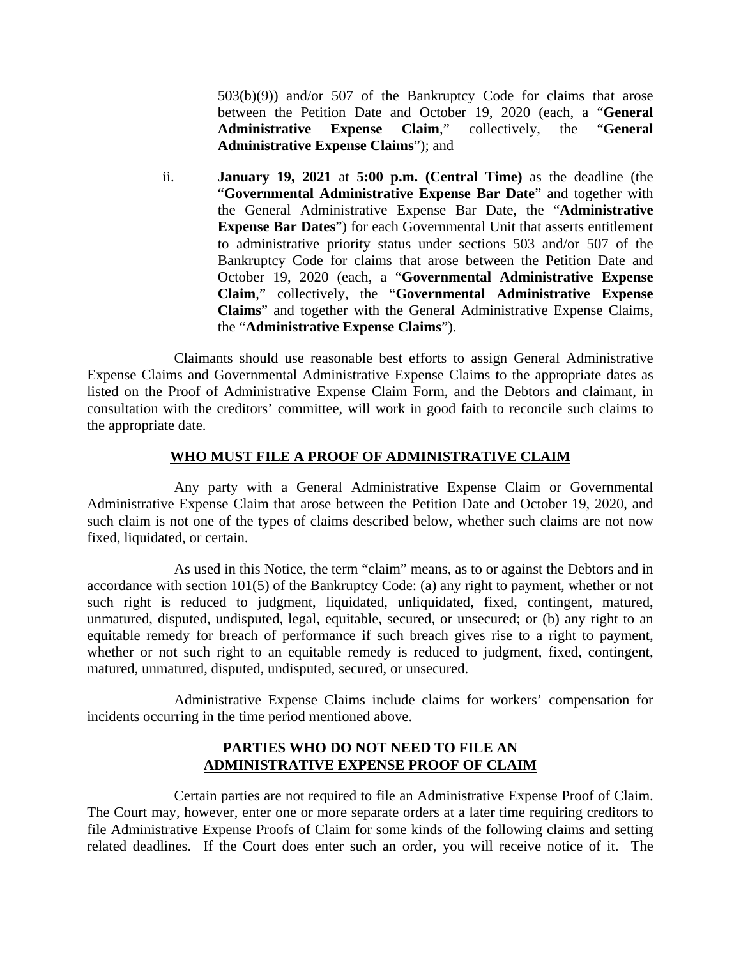503(b)(9)) and/or 507 of the Bankruptcy Code for claims that arose between the Petition Date and October 19, 2020 (each, a "**General Administrative Expense Claim**," collectively, the "**General Administrative Expense Claims**"); and

ii. **January 19, 2021** at **5:00 p.m. (Central Time)** as the deadline (the "**Governmental Administrative Expense Bar Date**" and together with the General Administrative Expense Bar Date, the "**Administrative Expense Bar Dates**") for each Governmental Unit that asserts entitlement to administrative priority status under sections 503 and/or 507 of the Bankruptcy Code for claims that arose between the Petition Date and October 19, 2020 (each, a "**Governmental Administrative Expense Claim**," collectively, the "**Governmental Administrative Expense Claims**" and together with the General Administrative Expense Claims, the "**Administrative Expense Claims**").

Claimants should use reasonable best efforts to assign General Administrative Expense Claims and Governmental Administrative Expense Claims to the appropriate dates as listed on the Proof of Administrative Expense Claim Form, and the Debtors and claimant, in consultation with the creditors' committee, will work in good faith to reconcile such claims to the appropriate date.

# **WHO MUST FILE A PROOF OF ADMINISTRATIVE CLAIM**

Any party with a General Administrative Expense Claim or Governmental Administrative Expense Claim that arose between the Petition Date and October 19, 2020, and such claim is not one of the types of claims described below, whether such claims are not now fixed, liquidated, or certain.

As used in this Notice, the term "claim" means, as to or against the Debtors and in accordance with section 101(5) of the Bankruptcy Code: (a) any right to payment, whether or not such right is reduced to judgment, liquidated, unliquidated, fixed, contingent, matured, unmatured, disputed, undisputed, legal, equitable, secured, or unsecured; or (b) any right to an equitable remedy for breach of performance if such breach gives rise to a right to payment, whether or not such right to an equitable remedy is reduced to judgment, fixed, contingent, matured, unmatured, disputed, undisputed, secured, or unsecured.

Administrative Expense Claims include claims for workers' compensation for incidents occurring in the time period mentioned above.

# **PARTIES WHO DO NOT NEED TO FILE AN ADMINISTRATIVE EXPENSE PROOF OF CLAIM**

Certain parties are not required to file an Administrative Expense Proof of Claim. The Court may, however, enter one or more separate orders at a later time requiring creditors to file Administrative Expense Proofs of Claim for some kinds of the following claims and setting related deadlines. If the Court does enter such an order, you will receive notice of it. The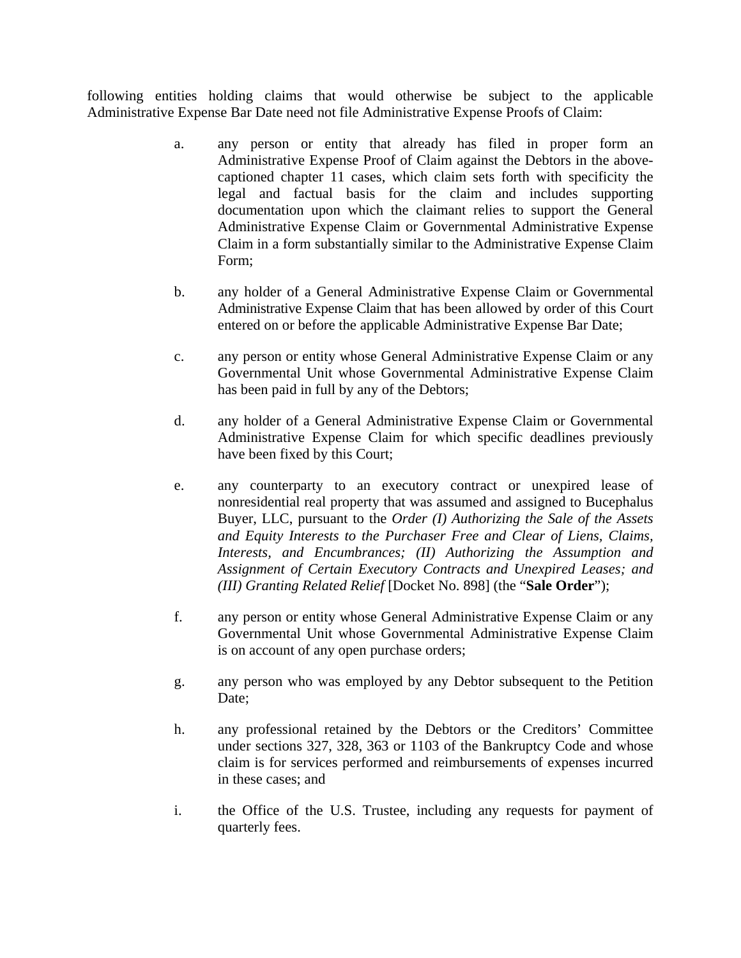following entities holding claims that would otherwise be subject to the applicable Administrative Expense Bar Date need not file Administrative Expense Proofs of Claim:

- a. any person or entity that already has filed in proper form an Administrative Expense Proof of Claim against the Debtors in the abovecaptioned chapter 11 cases, which claim sets forth with specificity the legal and factual basis for the claim and includes supporting documentation upon which the claimant relies to support the General Administrative Expense Claim or Governmental Administrative Expense Claim in a form substantially similar to the Administrative Expense Claim Form;
- b. any holder of a General Administrative Expense Claim or Governmental Administrative Expense Claim that has been allowed by order of this Court entered on or before the applicable Administrative Expense Bar Date;
- c. any person or entity whose General Administrative Expense Claim or any Governmental Unit whose Governmental Administrative Expense Claim has been paid in full by any of the Debtors;
- d. any holder of a General Administrative Expense Claim or Governmental Administrative Expense Claim for which specific deadlines previously have been fixed by this Court;
- e. any counterparty to an executory contract or unexpired lease of nonresidential real property that was assumed and assigned to Bucephalus Buyer, LLC, pursuant to the *Order (I) Authorizing the Sale of the Assets and Equity Interests to the Purchaser Free and Clear of Liens, Claims, Interests, and Encumbrances; (II) Authorizing the Assumption and Assignment of Certain Executory Contracts and Unexpired Leases; and (III) Granting Related Relief* [Docket No. 898] (the "**Sale Order**");
- f. any person or entity whose General Administrative Expense Claim or any Governmental Unit whose Governmental Administrative Expense Claim is on account of any open purchase orders;
- g. any person who was employed by any Debtor subsequent to the Petition Date;
- h. any professional retained by the Debtors or the Creditors' Committee under sections 327, 328, 363 or 1103 of the Bankruptcy Code and whose claim is for services performed and reimbursements of expenses incurred in these cases; and
- i. the Office of the U.S. Trustee, including any requests for payment of quarterly fees.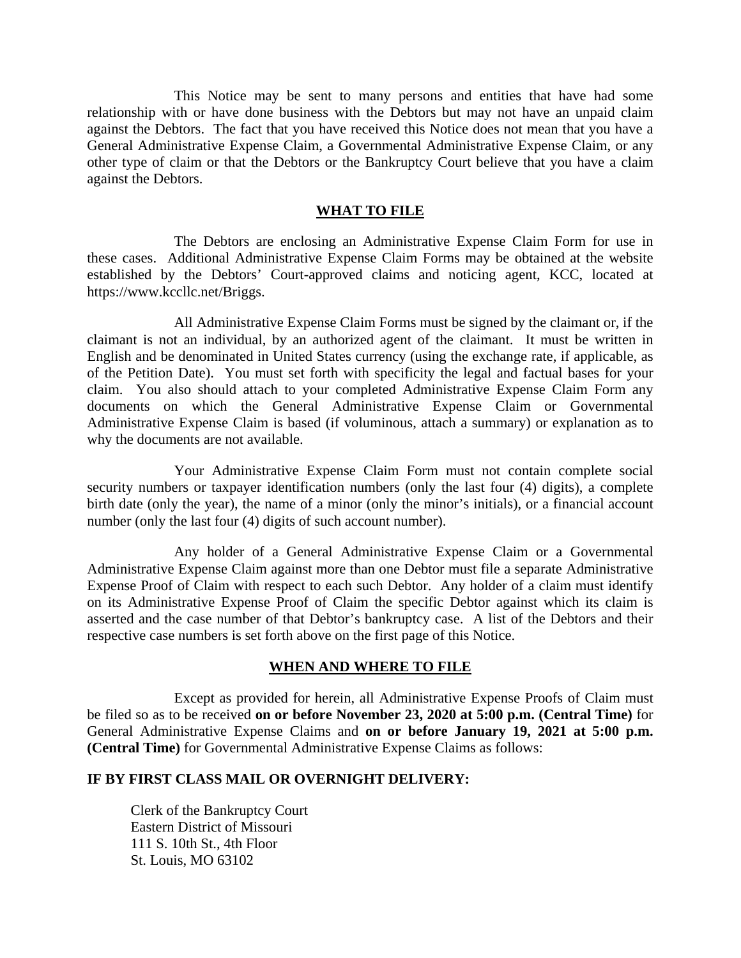This Notice may be sent to many persons and entities that have had some relationship with or have done business with the Debtors but may not have an unpaid claim against the Debtors. The fact that you have received this Notice does not mean that you have a General Administrative Expense Claim, a Governmental Administrative Expense Claim, or any other type of claim or that the Debtors or the Bankruptcy Court believe that you have a claim against the Debtors.

#### **WHAT TO FILE**

The Debtors are enclosing an Administrative Expense Claim Form for use in these cases. Additional Administrative Expense Claim Forms may be obtained at the website established by the Debtors' Court-approved claims and noticing agent, KCC, located at https://www.kccllc.net/Briggs.

All Administrative Expense Claim Forms must be signed by the claimant or, if the claimant is not an individual, by an authorized agent of the claimant. It must be written in English and be denominated in United States currency (using the exchange rate, if applicable, as of the Petition Date). You must set forth with specificity the legal and factual bases for your claim. You also should attach to your completed Administrative Expense Claim Form any documents on which the General Administrative Expense Claim or Governmental Administrative Expense Claim is based (if voluminous, attach a summary) or explanation as to why the documents are not available.

Your Administrative Expense Claim Form must not contain complete social security numbers or taxpayer identification numbers (only the last four  $(4)$  digits), a complete birth date (only the year), the name of a minor (only the minor's initials), or a financial account number (only the last four (4) digits of such account number).

Any holder of a General Administrative Expense Claim or a Governmental Administrative Expense Claim against more than one Debtor must file a separate Administrative Expense Proof of Claim with respect to each such Debtor. Any holder of a claim must identify on its Administrative Expense Proof of Claim the specific Debtor against which its claim is asserted and the case number of that Debtor's bankruptcy case. A list of the Debtors and their respective case numbers is set forth above on the first page of this Notice.

#### **WHEN AND WHERE TO FILE**

Except as provided for herein, all Administrative Expense Proofs of Claim must be filed so as to be received **on or before November 23, 2020 at 5:00 p.m. (Central Time)** for General Administrative Expense Claims and **on or before January 19, 2021 at 5:00 p.m. (Central Time)** for Governmental Administrative Expense Claims as follows:

### **IF BY FIRST CLASS MAIL OR OVERNIGHT DELIVERY:**

Clerk of the Bankruptcy Court Eastern District of Missouri 111 S. 10th St., 4th Floor St. Louis, MO 63102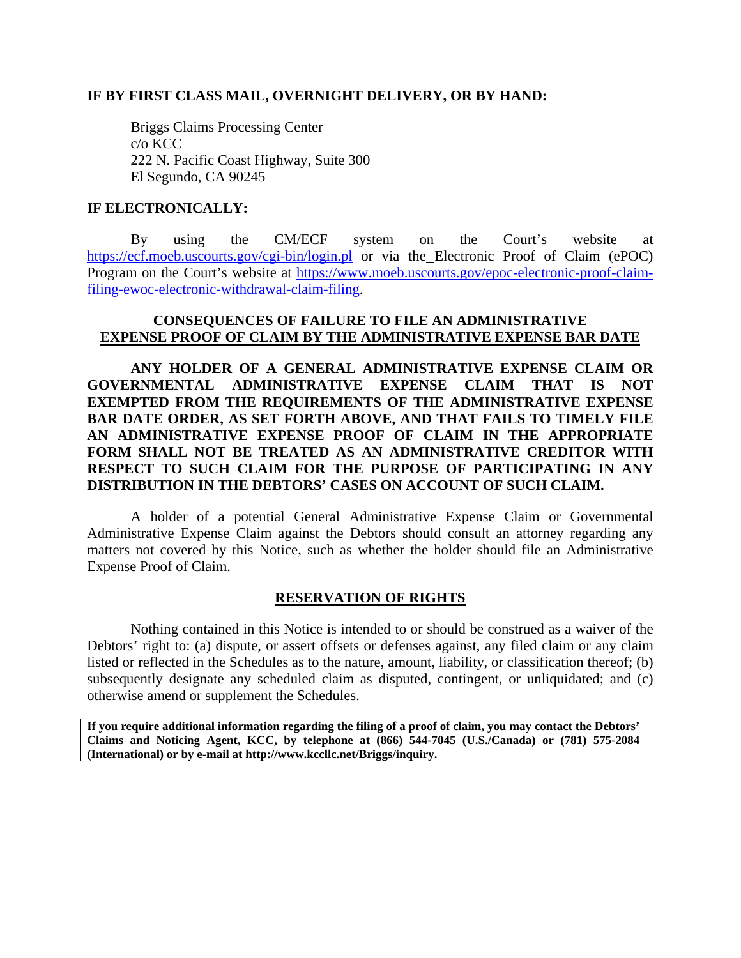#### **IF BY FIRST CLASS MAIL, OVERNIGHT DELIVERY, OR BY HAND:**

Briggs Claims Processing Center c/o KCC 222 N. Pacific Coast Highway, Suite 300 El Segundo, CA 90245

# **IF ELECTRONICALLY:**

By using the CM/ECF system on the Court's website at https://ecf.moeb.uscourts.gov/cgi-bin/login.pl or via the Electronic Proof of Claim (ePOC) Program on the Court's website at https://www.moeb.uscourts.gov/epoc-electronic-proof-claimfiling-ewoc-electronic-withdrawal-claim-filing.

# **CONSEQUENCES OF FAILURE TO FILE AN ADMINISTRATIVE EXPENSE PROOF OF CLAIM BY THE ADMINISTRATIVE EXPENSE BAR DATE**

**ANY HOLDER OF A GENERAL ADMINISTRATIVE EXPENSE CLAIM OR GOVERNMENTAL ADMINISTRATIVE EXPENSE CLAIM THAT IS NOT EXEMPTED FROM THE REQUIREMENTS OF THE ADMINISTRATIVE EXPENSE BAR DATE ORDER, AS SET FORTH ABOVE, AND THAT FAILS TO TIMELY FILE AN ADMINISTRATIVE EXPENSE PROOF OF CLAIM IN THE APPROPRIATE FORM SHALL NOT BE TREATED AS AN ADMINISTRATIVE CREDITOR WITH RESPECT TO SUCH CLAIM FOR THE PURPOSE OF PARTICIPATING IN ANY DISTRIBUTION IN THE DEBTORS' CASES ON ACCOUNT OF SUCH CLAIM.** 

A holder of a potential General Administrative Expense Claim or Governmental Administrative Expense Claim against the Debtors should consult an attorney regarding any matters not covered by this Notice, such as whether the holder should file an Administrative Expense Proof of Claim.

# **RESERVATION OF RIGHTS**

Nothing contained in this Notice is intended to or should be construed as a waiver of the Debtors' right to: (a) dispute, or assert offsets or defenses against, any filed claim or any claim listed or reflected in the Schedules as to the nature, amount, liability, or classification thereof; (b) subsequently designate any scheduled claim as disputed, contingent, or unliquidated; and (c) otherwise amend or supplement the Schedules.

**If you require additional information regarding the filing of a proof of claim, you may contact the Debtors' Claims and Noticing Agent, KCC, by telephone at (866) 544-7045 (U.S./Canada) or (781) 575-2084 (International) or by e-mail at http://www.kccllc.net/Briggs/inquiry.**